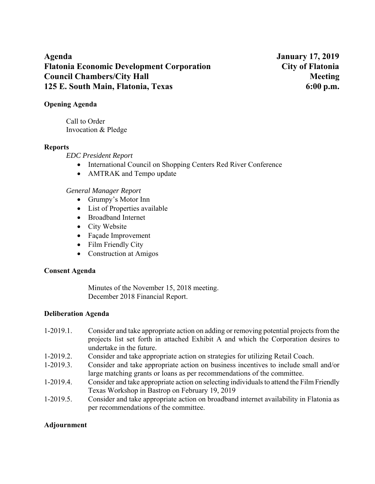**Agenda January 17, 2019 Flatonia Economic Development Corporation City of Flatonia Council Chambers/City Hall Meeting 3.1 Meeting 3.1 Meeting 3.1 Meeting 3.1 Meeting 3.1 Meeting 3.1 Meeting 3.1 Meeting 3.1 Meeting 3.1 Meeting 3.1 Meeting 3.1 Meeting 3.1 Meeting 3.1 Meeting 3.1 Meeting 3.1 Meeting 3.1 Me 125 E. South Main, Flatonia, Texas 6:00 p.m.** 

### **Opening Agenda**

Call to Order Invocation & Pledge

### **Reports**

*EDC President Report* 

- International Council on Shopping Centers Red River Conference
- AMTRAK and Tempo update

### *General Manager Report*

- Grumpy's Motor Inn
- List of Properties available
- Broadband Internet
- City Website
- Façade Improvement
- Film Friendly City
- Construction at Amigos

### **Consent Agenda**

Minutes of the November 15, 2018 meeting. December 2018 Financial Report.

### **Deliberation Agenda**

- 1-2019.1. Consider and take appropriate action on adding or removing potential projects from the projects list set forth in attached Exhibit A and which the Corporation desires to undertake in the future.
- 1-2019.2. Consider and take appropriate action on strategies for utilizing Retail Coach.
- 1-2019.3. Consider and take appropriate action on business incentives to include small and/or large matching grants or loans as per recommendations of the committee.
- 1-2019.4. Consider and take appropriate action on selecting individuals to attend the Film Friendly Texas Workshop in Bastrop on February 19, 2019
- 1-2019.5. Consider and take appropriate action on broadband internet availability in Flatonia as per recommendations of the committee.

### **Adjournment**